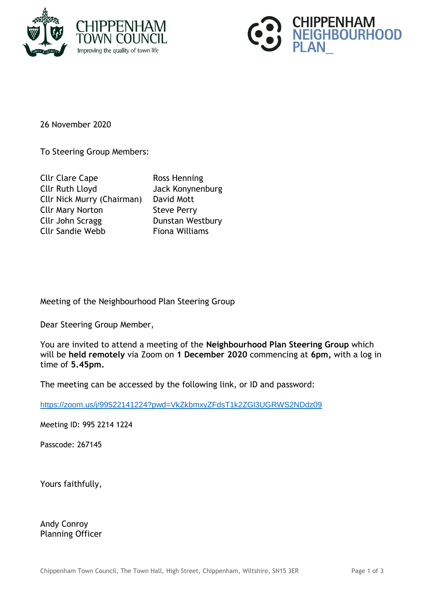



26 November 2020

To Steering Group Members:

| <b>Cllr Clare Cape</b>            | Ross Henning          |
|-----------------------------------|-----------------------|
| <b>Cllr Ruth Lloyd</b>            | Jack Konynenburg      |
| <b>Cllr Nick Murry (Chairman)</b> | David Mott            |
| <b>Cllr Mary Norton</b>           | <b>Steve Perry</b>    |
| Cllr John Scragg                  | Dunstan Westbury      |
| <b>Cllr Sandie Webb</b>           | <b>Fiona Williams</b> |

Meeting of the Neighbourhood Plan Steering Group

Dear Steering Group Member,

You are invited to attend a meeting of the **Neighbourhood Plan Steering Group** which will be **held remotely** via Zoom on **1 December 2020** commencing at **6pm,** with a log in time of **5.45pm.**

The meeting can be accessed by the following link, or ID and password:

<https://zoom.us/j/99522141224?pwd=VkZkbmxyZFdsT1k2ZGl3UGRWS2NDdz09>

Meeting ID: 995 2214 1224

Passcode: 267145

Yours faithfully,

Andy Conroy Planning Officer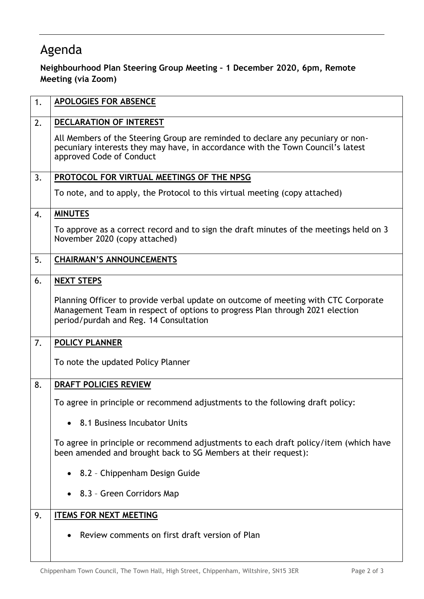## Agenda

## **Neighbourhood Plan Steering Group Meeting – 1 December 2020, 6pm, Remote Meeting (via Zoom)**

| 1. | <b>APOLOGIES FOR ABSENCE</b>                                                                                                                                                                                 |
|----|--------------------------------------------------------------------------------------------------------------------------------------------------------------------------------------------------------------|
| 2. | DECLARATION OF INTEREST                                                                                                                                                                                      |
|    | All Members of the Steering Group are reminded to declare any pecuniary or non-<br>pecuniary interests they may have, in accordance with the Town Council's latest<br>approved Code of Conduct               |
| 3. | PROTOCOL FOR VIRTUAL MEETINGS OF THE NPSG                                                                                                                                                                    |
|    | To note, and to apply, the Protocol to this virtual meeting (copy attached)                                                                                                                                  |
| 4. | <b>MINUTES</b>                                                                                                                                                                                               |
|    | To approve as a correct record and to sign the draft minutes of the meetings held on 3<br>November 2020 (copy attached)                                                                                      |
| 5. | <b>CHAIRMAN'S ANNOUNCEMENTS</b>                                                                                                                                                                              |
| 6. | <b>NEXT STEPS</b>                                                                                                                                                                                            |
|    | Planning Officer to provide verbal update on outcome of meeting with CTC Corporate<br>Management Team in respect of options to progress Plan through 2021 election<br>period/purdah and Reg. 14 Consultation |
| 7. | POLICY PLANNER                                                                                                                                                                                               |
|    | To note the updated Policy Planner                                                                                                                                                                           |
| 8. | <b>DRAFT POLICIES REVIEW</b>                                                                                                                                                                                 |
|    | To agree in principle or recommend adjustments to the following draft policy:                                                                                                                                |
|    | • 8.1 Business Incubator Units                                                                                                                                                                               |
|    | To agree in principle or recommend adjustments to each draft policy/item (which have<br>been amended and brought back to SG Members at their request):                                                       |
|    | • 8.2 - Chippenham Design Guide                                                                                                                                                                              |
|    | • 8.3 - Green Corridors Map                                                                                                                                                                                  |
| 9. | <b>ITEMS FOR NEXT MEETING</b>                                                                                                                                                                                |
|    | Review comments on first draft version of Plan                                                                                                                                                               |